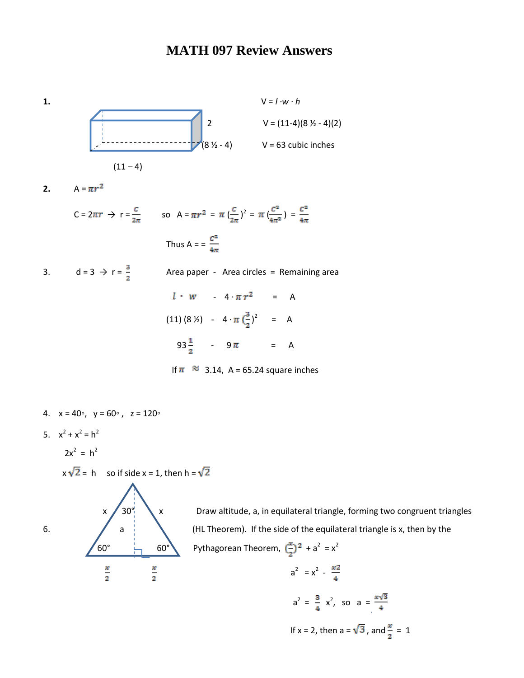## **MATH 097 Review Answers**



- 4.  $x = 40°$ ,  $y = 60°$ ,  $z = 120°$
- 5.  $x^2 + x^2 = h^2$
- $2x^2 = h^2$

$$
x\sqrt{2} = h
$$
 so if side  $x = 1$ , then  $h = \sqrt{2}$ 



 $x \nearrow 30^\circ$  x Draw altitude, a, in equilateral triangle, forming two congruent triangles 6.  $\bigvee$  a  $\bigvee$  (HL Theorem). If the side of the equilateral triangle is x, then by the 60°  $\leftarrow$  60° Pythagorean Theorem,  $\left(\frac{x}{2}\right)^2 + a^2 = x^2$ 

$$
\frac{x}{2} \qquad \frac{x}{2} \qquad a^2 = x^2 - \frac{x^2}{4}
$$
\n
$$
a^2 = \frac{3}{4} x^2, \text{ so } a = \frac{x\sqrt{3}}{4}
$$
\nIf  $x = 2$ , then  $a = \sqrt{3}$ , and  $\frac{x}{2} = 1$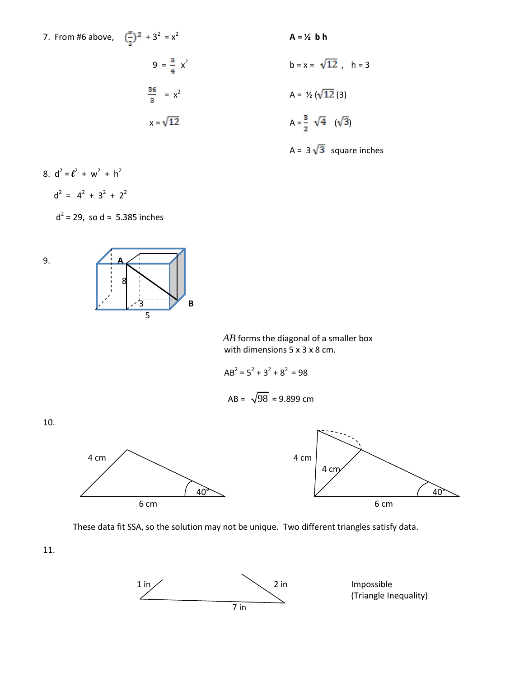7. From #6 above,  $\left(\frac{x}{2}\right)^2 + 3^2 = x^2$ 

7. From #6 above, 
$$
(\frac{x}{2})^2 + 3^2 = x^2
$$
  
\n
$$
9 = \frac{3}{4}x^2
$$
\n
$$
\frac{36}{3} = x^2
$$
\n
$$
x = \sqrt{12}
$$
\n
$$
A = \frac{1}{2}(12)(3)
$$
\n
$$
A = \frac{3}{2}\sqrt{4}(\sqrt{3})
$$

b = x = 
$$
\sqrt{12}
$$
, h = 3  
A =  $\frac{1}{2} (\sqrt{12} (3)$   
A =  $\frac{3}{2} \sqrt{4} (\sqrt{3})$ 

A =  $3\sqrt{3}$  square inches

8.  $d^2 = l^2 + w^2 + h^2$ 

$$
d^2 = 4^2 + 3^2 + 2^2
$$

 $d^2$  = 29, so d  $\approx$  5.385 inches



 *AB* forms the diagonal of a smaller box with dimensions 5 x 3 x 8 cm.

$$
AB^2 = 5^2 + 3^2 + 8^2 = 98
$$

$$
AB = \sqrt{98} \approx 9.899 \text{ cm}
$$







These data fit SSA, so the solution may not be unique. Two different triangles satisfy data.

11.

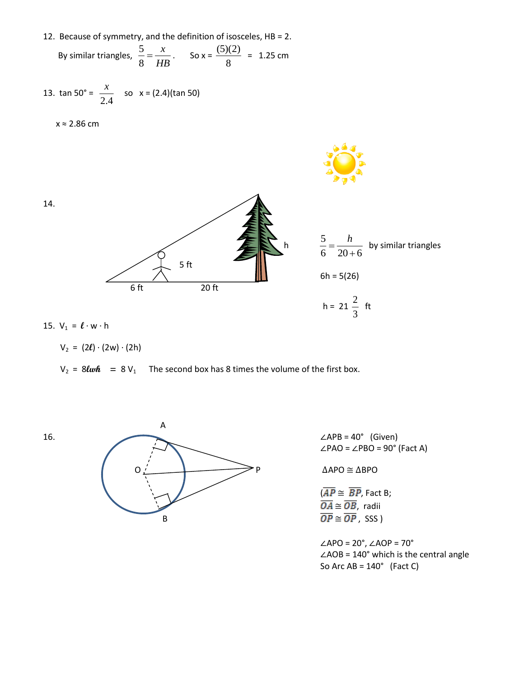12. Because of symmetry, and the definition of isosceles, HB = 2.

By similar triangles, 
$$
\frac{5}{8} = \frac{x}{HB}
$$
. So  $x = \frac{(5)(2)}{8} = 1.25$  cm

13. 
$$
\tan 50^\circ = \frac{x}{2.4}
$$
 so  $x = (2.4)(\tan 50)$ 

x ≈ 2.86 cm



15. 
$$
V_1 = \ell \cdot w \cdot h
$$

$$
V_2 = (2\ell) \cdot (2w) \cdot (2h)
$$

 $V_2$  = 8*lwh* = 8 $V_1$  The second box has 8 times the volume of the first box.





∠PAO = ∠PBO = 90° (Fact A)

$$
\overline{(AP \cong \overline{BP}, \text{Fact B};}\n \overline{OA} \cong \overline{OB}, \text{ radii}\n \overline{OP} \cong \overline{OP}, \text{ SSS}
$$

∠APO = 20°, ∠AOP = 70° ∠AOB = 140° which is the central angle So Arc  $AB = 140^\circ$  (Fact C)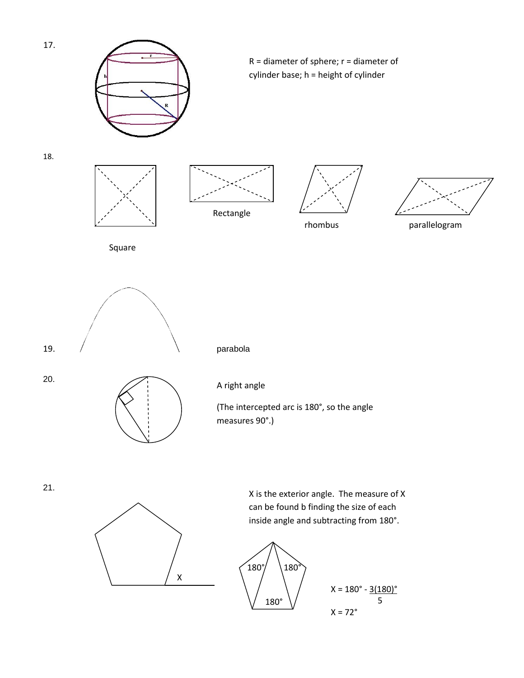

 $X = 72^\circ$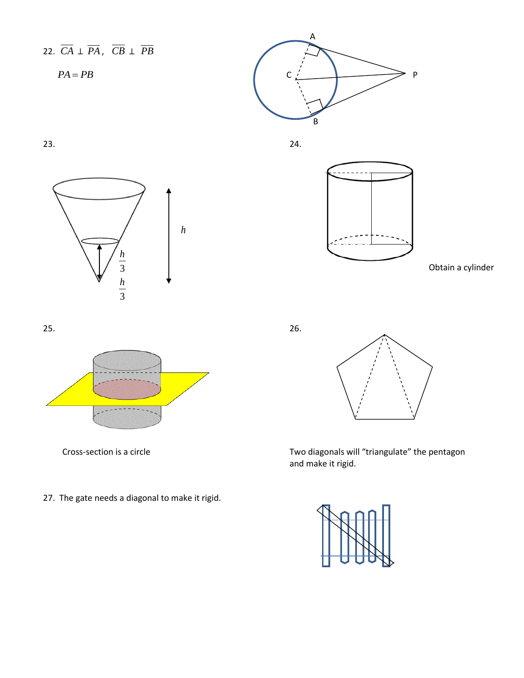## 22. *CA* ⊥ *PA* , *CB* ⊥ *PB*



 $23.$  24.







Obtain a cylinder









Cross-section is a circle Two diagonals will "triangulate" the pentagon and make it rigid.



27. The gate needs a diagonal to make it rigid.